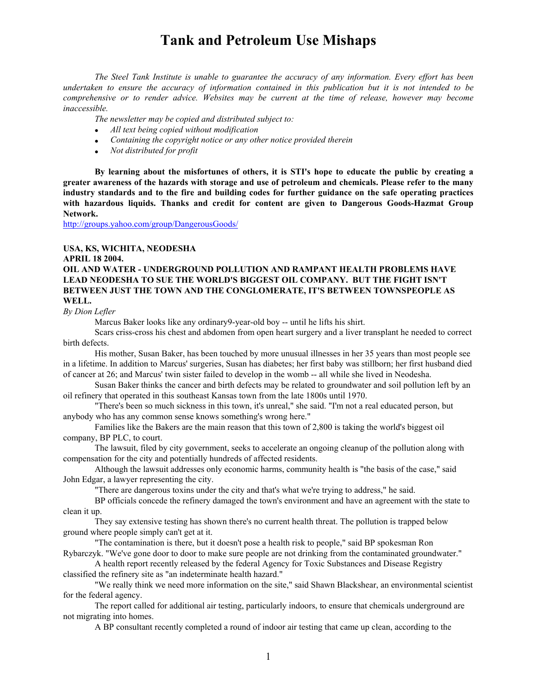*The Steel Tank Institute is unable to guarantee the accuracy of any information. Every effort has been undertaken to ensure the accuracy of information contained in this publication but it is not intended to be comprehensive or to render advice. Websites may be current at the time of release, however may become inaccessible.*

*The newsletter may be copied and distributed subject to:*

- *All text being copied without modification*
- *Containing the copyright notice or any other notice provided therein*
- *Not distributed for profit*

**By learning about the misfortunes of others, it is STI's hope to educate the public by creating a greater awareness of the hazards with storage and use of petroleum and chemicals. Please refer to the many industry standards and to the fire and building codes for further guidance on the safe operating practices with hazardous liquids. Thanks and credit for content are given to Dangerous Goods-Hazmat Group Network.**

http://groups.yahoo.com/group/DangerousGoods/

# **USA, KS, WICHITA, NEODESHA**

#### **APRIL 18 2004.**

# **OIL AND WATER - UNDERGROUND POLLUTION AND RAMPANT HEALTH PROBLEMS HAVE LEAD NEODESHA TO SUE THE WORLD'S BIGGEST OIL COMPANY. BUT THE FIGHT ISN'T BETWEEN JUST THE TOWN AND THE CONGLOMERATE, IT'S BETWEEN TOWNSPEOPLE AS WELL.**

*By Dion Lefler*

Marcus Baker looks like any ordinary9-year-old boy -- until he lifts his shirt.

Scars criss-cross his chest and abdomen from open heart surgery and a liver transplant he needed to correct birth defects.

His mother, Susan Baker, has been touched by more unusual illnesses in her 35 years than most people see in a lifetime. In addition to Marcus' surgeries, Susan has diabetes; her first baby was stillborn; her first husband died of cancer at 26; and Marcus' twin sister failed to develop in the womb -- all while she lived in Neodesha.

Susan Baker thinks the cancer and birth defects may be related to groundwater and soil pollution left by an oil refinery that operated in this southeast Kansas town from the late 1800s until 1970.

"There's been so much sickness in this town, it's unreal," she said. "I'm not a real educated person, but anybody who has any common sense knows something's wrong here."

Families like the Bakers are the main reason that this town of 2,800 is taking the world's biggest oil company, BP PLC, to court.

The lawsuit, filed by city government, seeks to accelerate an ongoing cleanup of the pollution along with compensation for the city and potentially hundreds of affected residents.

Although the lawsuit addresses only economic harms, community health is "the basis of the case," said John Edgar, a lawyer representing the city.

"There are dangerous toxins under the city and that's what we're trying to address," he said.

BP officials concede the refinery damaged the town's environment and have an agreement with the state to clean it up.

They say extensive testing has shown there's no current health threat. The pollution is trapped below ground where people simply can't get at it.

"The contamination is there, but it doesn't pose a health risk to people," said BP spokesman Ron Rybarczyk. "We've gone door to door to make sure people are not drinking from the contaminated groundwater."

A health report recently released by the federal Agency for Toxic Substances and Disease Registry classified the refinery site as "an indeterminate health hazard."

"We really think we need more information on the site," said Shawn Blackshear, an environmental scientist for the federal agency.

The report called for additional air testing, particularly indoors, to ensure that chemicals underground are not migrating into homes.

A BP consultant recently completed a round of indoor air testing that came up clean, according to the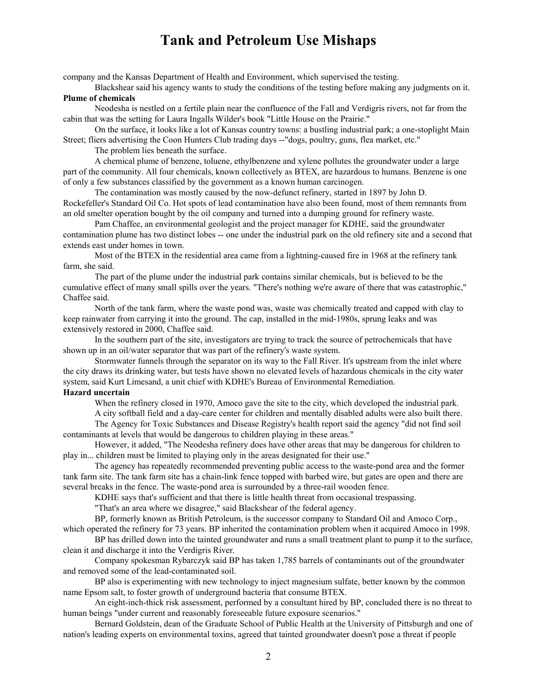company and the Kansas Department of Health and Environment, which supervised the testing.

Blackshear said his agency wants to study the conditions of the testing before making any judgments on it. **Plume of chemicals**

Neodesha is nestled on a fertile plain near the confluence of the Fall and Verdigris rivers, not far from the cabin that was the setting for Laura Ingalls Wilder's book "Little House on the Prairie."

On the surface, it looks like a lot of Kansas country towns: a bustling industrial park; a one-stoplight Main Street; fliers advertising the Coon Hunters Club trading days --"dogs, poultry, guns, flea market, etc."

The problem lies beneath the surface.

A chemical plume of benzene, toluene, ethylbenzene and xylene pollutes the groundwater under a large part of the community. All four chemicals, known collectively as BTEX, are hazardous to humans. Benzene is one of only a few substances classified by the government as a known human carcinogen.

The contamination was mostly caused by the now-defunct refinery, started in 1897 by John D. Rockefeller's Standard Oil Co. Hot spots of lead contamination have also been found, most of them remnants from an old smelter operation bought by the oil company and turned into a dumping ground for refinery waste.

Pam Chaffee, an environmental geologist and the project manager for KDHE, said the groundwater contamination plume has two distinct lobes -- one under the industrial park on the old refinery site and a second that extends east under homes in town.

Most of the BTEX in the residential area came from a lightning-caused fire in 1968 at the refinery tank farm, she said.

The part of the plume under the industrial park contains similar chemicals, but is believed to be the cumulative effect of many small spills over the years. "There's nothing we're aware of there that was catastrophic," Chaffee said.

North of the tank farm, where the waste pond was, waste was chemically treated and capped with clay to keep rainwater from carrying it into the ground. The cap, installed in the mid-1980s, sprung leaks and was extensively restored in 2000, Chaffee said.

In the southern part of the site, investigators are trying to track the source of petrochemicals that have shown up in an oil/water separator that was part of the refinery's waste system.

Stormwater funnels through the separator on its way to the Fall River. It's upstream from the inlet where the city draws its drinking water, but tests have shown no elevated levels of hazardous chemicals in the city water system, said Kurt Limesand, a unit chief with KDHE's Bureau of Environmental Remediation.

## **Hazard uncertain**

When the refinery closed in 1970, Amoco gave the site to the city, which developed the industrial park. A city softball field and a day-care center for children and mentally disabled adults were also built there.

The Agency for Toxic Substances and Disease Registry's health report said the agency "did not find soil contaminants at levels that would be dangerous to children playing in these areas."

However, it added, "The Neodesha refinery does have other areas that may be dangerous for children to play in... children must be limited to playing only in the areas designated for their use."

The agency has repeatedly recommended preventing public access to the waste-pond area and the former tank farm site. The tank farm site has a chain-link fence topped with barbed wire, but gates are open and there are several breaks in the fence. The waste-pond area is surrounded by a three-rail wooden fence.

KDHE says that's sufficient and that there is little health threat from occasional trespassing.

"That's an area where we disagree," said Blackshear of the federal agency.

BP, formerly known as British Petroleum, is the successor company to Standard Oil and Amoco Corp.,

which operated the refinery for 73 years. BP inherited the contamination problem when it acquired Amoco in 1998.

BP has drilled down into the tainted groundwater and runs a small treatment plant to pump it to the surface, clean it and discharge it into the Verdigris River.

Company spokesman Rybarczyk said BP has taken 1,785 barrels of contaminants out of the groundwater and removed some of the lead-contaminated soil.

BP also is experimenting with new technology to inject magnesium sulfate, better known by the common name Epsom salt, to foster growth of underground bacteria that consume BTEX.

An eight-inch-thick risk assessment, performed by a consultant hired by BP, concluded there is no threat to human beings "under current and reasonably foreseeable future exposure scenarios."

Bernard Goldstein, dean of the Graduate School of Public Health at the University of Pittsburgh and one of nation's leading experts on environmental toxins, agreed that tainted groundwater doesn't pose a threat if people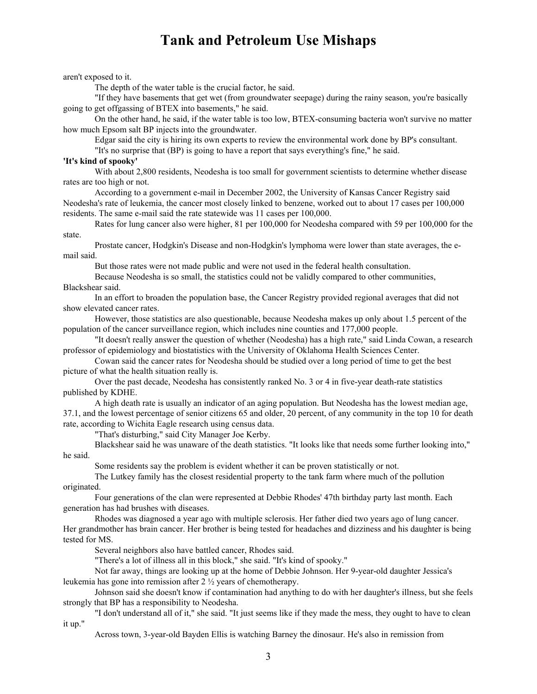aren't exposed to it.

The depth of the water table is the crucial factor, he said.

"If they have basements that get wet (from groundwater seepage) during the rainy season, you're basically going to get offgassing of BTEX into basements," he said.

On the other hand, he said, if the water table is too low, BTEX-consuming bacteria won't survive no matter how much Epsom salt BP injects into the groundwater.

Edgar said the city is hiring its own experts to review the environmental work done by BP's consultant.

"It's no surprise that (BP) is going to have a report that says everything's fine," he said.

### **'It's kind of spooky'**

With about 2,800 residents, Neodesha is too small for government scientists to determine whether disease rates are too high or not.

According to a government e-mail in December 2002, the University of Kansas Cancer Registry said Neodesha's rate of leukemia, the cancer most closely linked to benzene, worked out to about 17 cases per 100,000 residents. The same e-mail said the rate statewide was 11 cases per 100,000.

Rates for lung cancer also were higher, 81 per 100,000 for Neodesha compared with 59 per 100,000 for the state.

Prostate cancer, Hodgkin's Disease and non-Hodgkin's lymphoma were lower than state averages, the email said.

But those rates were not made public and were not used in the federal health consultation.

Because Neodesha is so small, the statistics could not be validly compared to other communities, Blackshear said.

In an effort to broaden the population base, the Cancer Registry provided regional averages that did not show elevated cancer rates.

However, those statistics are also questionable, because Neodesha makes up only about 1.5 percent of the population of the cancer surveillance region, which includes nine counties and 177,000 people.

"It doesn't really answer the question of whether (Neodesha) has a high rate," said Linda Cowan, a research professor of epidemiology and biostatistics with the University of Oklahoma Health Sciences Center.

Cowan said the cancer rates for Neodesha should be studied over a long period of time to get the best picture of what the health situation really is.

Over the past decade, Neodesha has consistently ranked No. 3 or 4 in five-year death-rate statistics published by KDHE.

A high death rate is usually an indicator of an aging population. But Neodesha has the lowest median age, 37.1, and the lowest percentage of senior citizens 65 and older, 20 percent, of any community in the top 10 for death rate, according to Wichita Eagle research using census data.

"That's disturbing," said City Manager Joe Kerby.

Blackshear said he was unaware of the death statistics. "It looks like that needs some further looking into," he said.

Some residents say the problem is evident whether it can be proven statistically or not.

The Lutkey family has the closest residential property to the tank farm where much of the pollution originated.

Four generations of the clan were represented at Debbie Rhodes' 47th birthday party last month. Each generation has had brushes with diseases.

Rhodes was diagnosed a year ago with multiple sclerosis. Her father died two years ago of lung cancer. Her grandmother has brain cancer. Her brother is being tested for headaches and dizziness and his daughter is being tested for MS.

Several neighbors also have battled cancer, Rhodes said.

"There's a lot of illness all in this block," she said. "It's kind of spooky."

Not far away, things are looking up at the home of Debbie Johnson. Her 9-year-old daughter Jessica's leukemia has gone into remission after 2 ½ years of chemotherapy.

Johnson said she doesn't know if contamination had anything to do with her daughter's illness, but she feels strongly that BP has a responsibility to Neodesha.

"I don't understand all of it," she said. "It just seems like if they made the mess, they ought to have to clean it up."

Across town, 3-year-old Bayden Ellis is watching Barney the dinosaur. He's also in remission from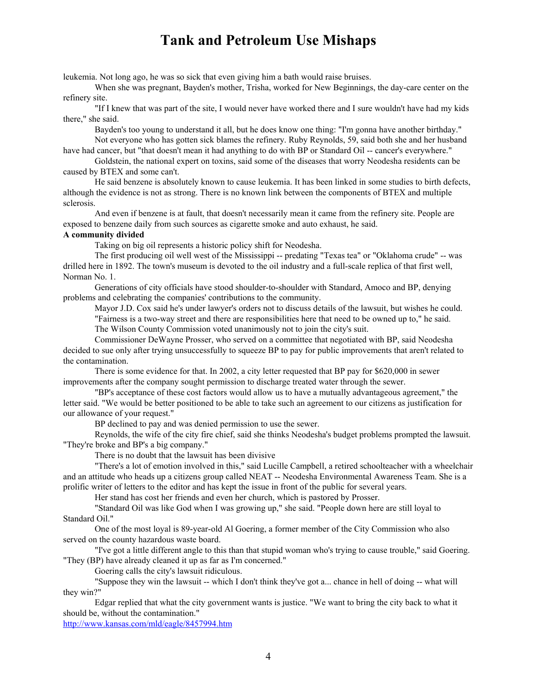leukemia. Not long ago, he was so sick that even giving him a bath would raise bruises.

When she was pregnant, Bayden's mother, Trisha, worked for New Beginnings, the day-care center on the refinery site.

"If I knew that was part of the site, I would never have worked there and I sure wouldn't have had my kids there," she said.

Bayden's too young to understand it all, but he does know one thing: "I'm gonna have another birthday." Not everyone who has gotten sick blames the refinery. Ruby Reynolds, 59, said both she and her husband

have had cancer, but "that doesn't mean it had anything to do with BP or Standard Oil -- cancer's everywhere."

Goldstein, the national expert on toxins, said some of the diseases that worry Neodesha residents can be caused by BTEX and some can't.

He said benzene is absolutely known to cause leukemia. It has been linked in some studies to birth defects, although the evidence is not as strong. There is no known link between the components of BTEX and multiple sclerosis.

And even if benzene is at fault, that doesn't necessarily mean it came from the refinery site. People are exposed to benzene daily from such sources as cigarette smoke and auto exhaust, he said.

### **A community divided**

Taking on big oil represents a historic policy shift for Neodesha.

The first producing oil well west of the Mississippi -- predating "Texas tea" or "Oklahoma crude" -- was drilled here in 1892. The town's museum is devoted to the oil industry and a full-scale replica of that first well, Norman No. 1.

Generations of city officials have stood shoulder-to-shoulder with Standard, Amoco and BP, denying problems and celebrating the companies' contributions to the community.

Mayor J.D. Cox said he's under lawyer's orders not to discuss details of the lawsuit, but wishes he could.

"Fairness is a two-way street and there are responsibilities here that need to be owned up to," he said. The Wilson County Commission voted unanimously not to join the city's suit.

Commissioner DeWayne Prosser, who served on a committee that negotiated with BP, said Neodesha decided to sue only after trying unsuccessfully to squeeze BP to pay for public improvements that aren't related to the contamination.

There is some evidence for that. In 2002, a city letter requested that BP pay for \$620,000 in sewer improvements after the company sought permission to discharge treated water through the sewer.

"BP's acceptance of these cost factors would allow us to have a mutually advantageous agreement," the letter said. "We would be better positioned to be able to take such an agreement to our citizens as justification for our allowance of your request."

BP declined to pay and was denied permission to use the sewer.

Reynolds, the wife of the city fire chief, said she thinks Neodesha's budget problems prompted the lawsuit. "They're broke and BP's a big company."

There is no doubt that the lawsuit has been divisive

"There's a lot of emotion involved in this," said Lucille Campbell, a retired schoolteacher with a wheelchair and an attitude who heads up a citizens group called NEAT -- Neodesha Environmental Awareness Team. She is a prolific writer of letters to the editor and has kept the issue in front of the public for several years.

Her stand has cost her friends and even her church, which is pastored by Prosser.

"Standard Oil was like God when I was growing up," she said. "People down here are still loyal to Standard Oil."

One of the most loyal is 89-year-old Al Goering, a former member of the City Commission who also served on the county hazardous waste board.

"I've got a little different angle to this than that stupid woman who's trying to cause trouble," said Goering. "They (BP) have already cleaned it up as far as I'm concerned."

Goering calls the city's lawsuit ridiculous.

"Suppose they win the lawsuit -- which I don't think they've got a... chance in hell of doing -- what will they win?"

Edgar replied that what the city government wants is justice. "We want to bring the city back to what it should be, without the contamination."

http://www.kansas.com/mld/eagle/8457994.htm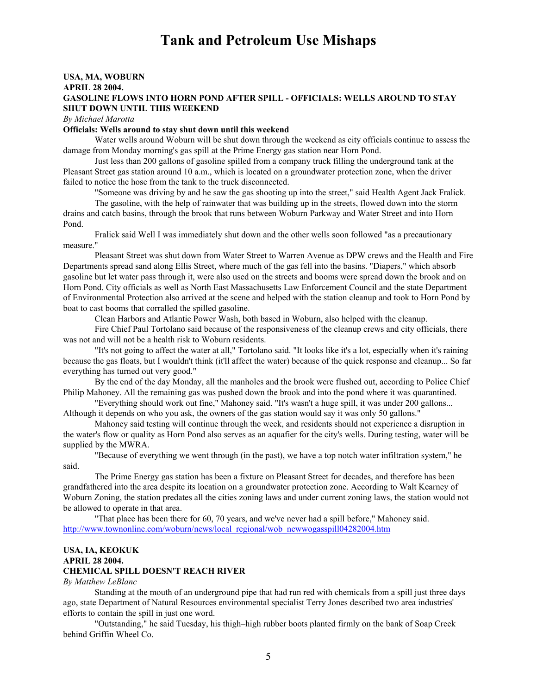## **USA, MA, WOBURN APRIL 28 2004. GASOLINE FLOWS INTO HORN POND AFTER SPILL - OFFICIALS: WELLS AROUND TO STAY SHUT DOWN UNTIL THIS WEEKEND**

*By Michael Marotta*

### **Officials: Wells around to stay shut down until this weekend**

Water wells around Woburn will be shut down through the weekend as city officials continue to assess the damage from Monday morning's gas spill at the Prime Energy gas station near Horn Pond.

Just less than 200 gallons of gasoline spilled from a company truck filling the underground tank at the Pleasant Street gas station around 10 a.m., which is located on a groundwater protection zone, when the driver failed to notice the hose from the tank to the truck disconnected.

"Someone was driving by and he saw the gas shooting up into the street," said Health Agent Jack Fralick.

The gasoline, with the help of rainwater that was building up in the streets, flowed down into the storm drains and catch basins, through the brook that runs between Woburn Parkway and Water Street and into Horn Pond.

Fralick said Well I was immediately shut down and the other wells soon followed "as a precautionary measure."

Pleasant Street was shut down from Water Street to Warren Avenue as DPW crews and the Health and Fire Departments spread sand along Ellis Street, where much of the gas fell into the basins. "Diapers," which absorb gasoline but let water pass through it, were also used on the streets and booms were spread down the brook and on Horn Pond. City officials as well as North East Massachusetts Law Enforcement Council and the state Department of Environmental Protection also arrived at the scene and helped with the station cleanup and took to Horn Pond by boat to cast booms that corralled the spilled gasoline.

Clean Harbors and Atlantic Power Wash, both based in Woburn, also helped with the cleanup.

Fire Chief Paul Tortolano said because of the responsiveness of the cleanup crews and city officials, there was not and will not be a health risk to Woburn residents.

"It's not going to affect the water at all," Tortolano said. "It looks like it's a lot, especially when it's raining because the gas floats, but I wouldn't think (it'll affect the water) because of the quick response and cleanup... So far everything has turned out very good."

By the end of the day Monday, all the manholes and the brook were flushed out, according to Police Chief Philip Mahoney. All the remaining gas was pushed down the brook and into the pond where it was quarantined.

"Everything should work out fine," Mahoney said. "It's wasn't a huge spill, it was under 200 gallons... Although it depends on who you ask, the owners of the gas station would say it was only 50 gallons."

Mahoney said testing will continue through the week, and residents should not experience a disruption in the water's flow or quality as Horn Pond also serves as an aquafier for the city's wells. During testing, water will be supplied by the MWRA.

"Because of everything we went through (in the past), we have a top notch water infiltration system," he said.

The Prime Energy gas station has been a fixture on Pleasant Street for decades, and therefore has been grandfathered into the area despite its location on a groundwater protection zone. According to Walt Kearney of Woburn Zoning, the station predates all the cities zoning laws and under current zoning laws, the station would not be allowed to operate in that area.

"That place has been there for 60, 70 years, and we've never had a spill before," Mahoney said. http://www.townonline.com/woburn/news/local\_regional/wob\_newwogasspill04282004.htm

## **USA, IA, KEOKUK APRIL 28 2004. CHEMICAL SPILL DOESN'T REACH RIVER**

#### *By Matthew LeBlanc*

Standing at the mouth of an underground pipe that had run red with chemicals from a spill just three days ago, state Department of Natural Resources environmental specialist Terry Jones described two area industries' efforts to contain the spill in just one word.

"Outstanding," he said Tuesday, his thigh–high rubber boots planted firmly on the bank of Soap Creek behind Griffin Wheel Co.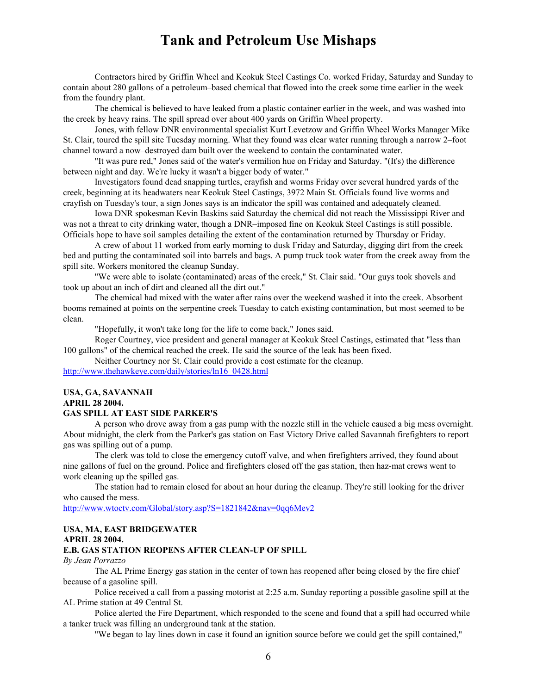Contractors hired by Griffin Wheel and Keokuk Steel Castings Co. worked Friday, Saturday and Sunday to contain about 280 gallons of a petroleum–based chemical that flowed into the creek some time earlier in the week from the foundry plant.

The chemical is believed to have leaked from a plastic container earlier in the week, and was washed into the creek by heavy rains. The spill spread over about 400 yards on Griffin Wheel property.

Jones, with fellow DNR environmental specialist Kurt Levetzow and Griffin Wheel Works Manager Mike St. Clair, toured the spill site Tuesday morning. What they found was clear water running through a narrow 2–foot channel toward a now–destroyed dam built over the weekend to contain the contaminated water.

"It was pure red," Jones said of the water's vermilion hue on Friday and Saturday. "(It's) the difference between night and day. We're lucky it wasn't a bigger body of water."

Investigators found dead snapping turtles, crayfish and worms Friday over several hundred yards of the creek, beginning at its headwaters near Keokuk Steel Castings, 3972 Main St. Officials found live worms and crayfish on Tuesday's tour, a sign Jones says is an indicator the spill was contained and adequately cleaned.

Iowa DNR spokesman Kevin Baskins said Saturday the chemical did not reach the Mississippi River and was not a threat to city drinking water, though a DNR–imposed fine on Keokuk Steel Castings is still possible. Officials hope to have soil samples detailing the extent of the contamination returned by Thursday or Friday.

A crew of about 11 worked from early morning to dusk Friday and Saturday, digging dirt from the creek bed and putting the contaminated soil into barrels and bags. A pump truck took water from the creek away from the spill site. Workers monitored the cleanup Sunday.

"We were able to isolate (contaminated) areas of the creek," St. Clair said. "Our guys took shovels and took up about an inch of dirt and cleaned all the dirt out."

The chemical had mixed with the water after rains over the weekend washed it into the creek. Absorbent booms remained at points on the serpentine creek Tuesday to catch existing contamination, but most seemed to be clean.

"Hopefully, it won't take long for the life to come back," Jones said.

Roger Courtney, vice president and general manager at Keokuk Steel Castings, estimated that "less than 100 gallons" of the chemical reached the creek. He said the source of the leak has been fixed.

Neither Courtney nor St. Clair could provide a cost estimate for the cleanup.

http://www.thehawkeye.com/daily/stories/ln16\_0428.html

### **USA, GA, SAVANNAH APRIL 28 2004. GAS SPILL AT EAST SIDE PARKER'S**

## A person who drove away from a gas pump with the nozzle still in the vehicle caused a big mess overnight. About midnight, the clerk from the Parker's gas station on East Victory Drive called Savannah firefighters to report gas was spilling out of a pump.

The clerk was told to close the emergency cutoff valve, and when firefighters arrived, they found about nine gallons of fuel on the ground. Police and firefighters closed off the gas station, then haz-mat crews went to work cleaning up the spilled gas.

The station had to remain closed for about an hour during the cleanup. They're still looking for the driver who caused the mess.

http://www.wtoctv.com/Global/story.asp?S=1821842&nav=0qq6Mev2

# **USA, MA, EAST BRIDGEWATER APRIL 28 2004.**

### **E.B. GAS STATION REOPENS AFTER CLEAN-UP OF SPILL**

#### *By Jean Porrazzo*

The AL Prime Energy gas station in the center of town has reopened after being closed by the fire chief because of a gasoline spill.

Police received a call from a passing motorist at 2:25 a.m. Sunday reporting a possible gasoline spill at the AL Prime station at 49 Central St.

Police alerted the Fire Department, which responded to the scene and found that a spill had occurred while a tanker truck was filling an underground tank at the station.

"We began to lay lines down in case it found an ignition source before we could get the spill contained,"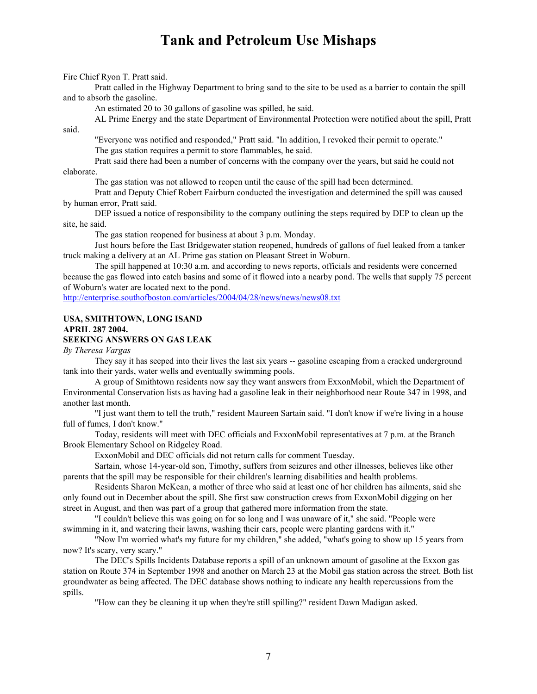Fire Chief Ryon T. Pratt said.

Pratt called in the Highway Department to bring sand to the site to be used as a barrier to contain the spill and to absorb the gasoline.

An estimated 20 to 30 gallons of gasoline was spilled, he said.

AL Prime Energy and the state Department of Environmental Protection were notified about the spill, Pratt

"Everyone was notified and responded," Pratt said. "In addition, I revoked their permit to operate." The gas station requires a permit to store flammables, he said.

Pratt said there had been a number of concerns with the company over the years, but said he could not elaborate.

said.

The gas station was not allowed to reopen until the cause of the spill had been determined.

Pratt and Deputy Chief Robert Fairburn conducted the investigation and determined the spill was caused by human error, Pratt said.

DEP issued a notice of responsibility to the company outlining the steps required by DEP to clean up the site, he said.

The gas station reopened for business at about 3 p.m. Monday.

Just hours before the East Bridgewater station reopened, hundreds of gallons of fuel leaked from a tanker truck making a delivery at an AL Prime gas station on Pleasant Street in Woburn.

The spill happened at 10:30 a.m. and according to news reports, officials and residents were concerned because the gas flowed into catch basins and some of it flowed into a nearby pond. The wells that supply 75 percent of Woburn's water are located next to the pond.

http://enterprise.southofboston.com/articles/2004/04/28/news/news/news08.txt

### **USA, SMITHTOWN, LONG ISAND APRIL 287 2004.**

## **SEEKING ANSWERS ON GAS LEAK**

*By Theresa Vargas*

They say it has seeped into their lives the last six years -- gasoline escaping from a cracked underground tank into their yards, water wells and eventually swimming pools.

A group of Smithtown residents now say they want answers from ExxonMobil, which the Department of Environmental Conservation lists as having had a gasoline leak in their neighborhood near Route 347 in 1998, and another last month.

"I just want them to tell the truth," resident Maureen Sartain said. "I don't know if we're living in a house full of fumes, I don't know."

Today, residents will meet with DEC officials and ExxonMobil representatives at 7 p.m. at the Branch Brook Elementary School on Ridgeley Road.

ExxonMobil and DEC officials did not return calls for comment Tuesday.

Sartain, whose 14-year-old son, Timothy, suffers from seizures and other illnesses, believes like other parents that the spill may be responsible for their children's learning disabilities and health problems.

Residents Sharon McKean, a mother of three who said at least one of her children has ailments, said she only found out in December about the spill. She first saw construction crews from ExxonMobil digging on her street in August, and then was part of a group that gathered more information from the state.

"I couldn't believe this was going on for so long and I was unaware of it," she said. "People were swimming in it, and watering their lawns, washing their cars, people were planting gardens with it."

"Now I'm worried what's my future for my children," she added, "what's going to show up 15 years from now? It's scary, very scary."

The DEC's Spills Incidents Database reports a spill of an unknown amount of gasoline at the Exxon gas station on Route 374 in September 1998 and another on March 23 at the Mobil gas station across the street. Both list groundwater as being affected. The DEC database shows nothing to indicate any health repercussions from the spills.

"How can they be cleaning it up when they're still spilling?" resident Dawn Madigan asked.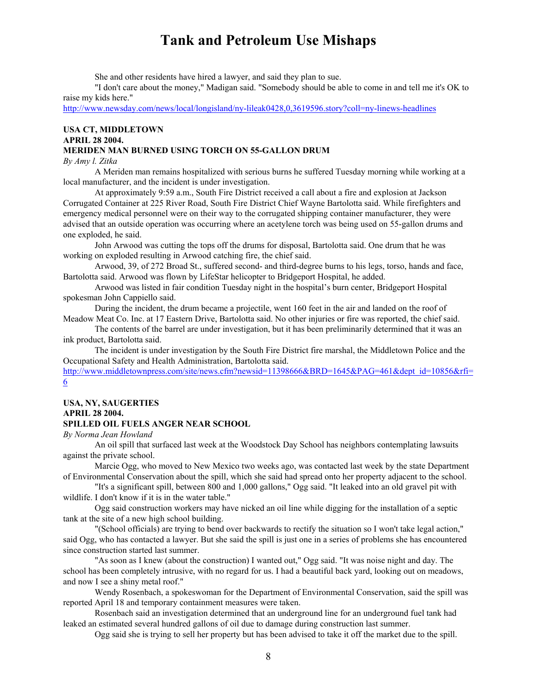She and other residents have hired a lawyer, and said they plan to sue.

"I don't care about the money," Madigan said. "Somebody should be able to come in and tell me it's OK to raise my kids here."

http://www.newsday.com/news/local/longisland/ny-lileak0428,0,3619596.story?coll=ny-linews-headlines

# **USA CT, MIDDLETOWN**

# **APRIL 28 2004.**

# **MERIDEN MAN BURNED USING TORCH ON 55-GALLON DRUM**

*By Amy l. Zitka*

A Meriden man remains hospitalized with serious burns he suffered Tuesday morning while working at a local manufacturer, and the incident is under investigation.

At approximately 9:59 a.m., South Fire District received a call about a fire and explosion at Jackson Corrugated Container at 225 River Road, South Fire District Chief Wayne Bartolotta said. While firefighters and emergency medical personnel were on their way to the corrugated shipping container manufacturer, they were advised that an outside operation was occurring where an acetylene torch was being used on 55-gallon drums and one exploded, he said.

John Arwood was cutting the tops off the drums for disposal, Bartolotta said. One drum that he was working on exploded resulting in Arwood catching fire, the chief said.

Arwood, 39, of 272 Broad St., suffered second- and third-degree burns to his legs, torso, hands and face, Bartolotta said. Arwood was flown by LifeStar helicopter to Bridgeport Hospital, he added.

Arwood was listed in fair condition Tuesday night in the hospital's burn center, Bridgeport Hospital spokesman John Cappiello said.

During the incident, the drum became a projectile, went 160 feet in the air and landed on the roof of Meadow Meat Co. Inc. at 17 Eastern Drive, Bartolotta said. No other injuries or fire was reported, the chief said.

The contents of the barrel are under investigation, but it has been preliminarily determined that it was an ink product, Bartolotta said.

The incident is under investigation by the South Fire District fire marshal, the Middletown Police and the Occupational Safety and Health Administration, Bartolotta said.

http://www.middletownpress.com/site/news.cfm?newsid=11398666&BRD=1645&PAG=461&dept\_id=10856&rfi= 6

# **USA, NY, SAUGERTIES**

# **APRIL 28 2004.**

## **SPILLED OIL FUELS ANGER NEAR SCHOOL**

*By Norma Jean Howland*

An oil spill that surfaced last week at the Woodstock Day School has neighbors contemplating lawsuits against the private school.

Marcie Ogg, who moved to New Mexico two weeks ago, was contacted last week by the state Department of Environmental Conservation about the spill, which she said had spread onto her property adjacent to the school.

"It's a significant spill, between 800 and 1,000 gallons," Ogg said. "It leaked into an old gravel pit with wildlife. I don't know if it is in the water table."

Ogg said construction workers may have nicked an oil line while digging for the installation of a septic tank at the site of a new high school building.

"(School officials) are trying to bend over backwards to rectify the situation so I won't take legal action," said Ogg, who has contacted a lawyer. But she said the spill is just one in a series of problems she has encountered since construction started last summer.

"As soon as I knew (about the construction) I wanted out," Ogg said. "It was noise night and day. The school has been completely intrusive, with no regard for us. I had a beautiful back yard, looking out on meadows, and now I see a shiny metal roof."

Wendy Rosenbach, a spokeswoman for the Department of Environmental Conservation, said the spill was reported April 18 and temporary containment measures were taken.

Rosenbach said an investigation determined that an underground line for an underground fuel tank had leaked an estimated several hundred gallons of oil due to damage during construction last summer.

Ogg said she is trying to sell her property but has been advised to take it off the market due to the spill.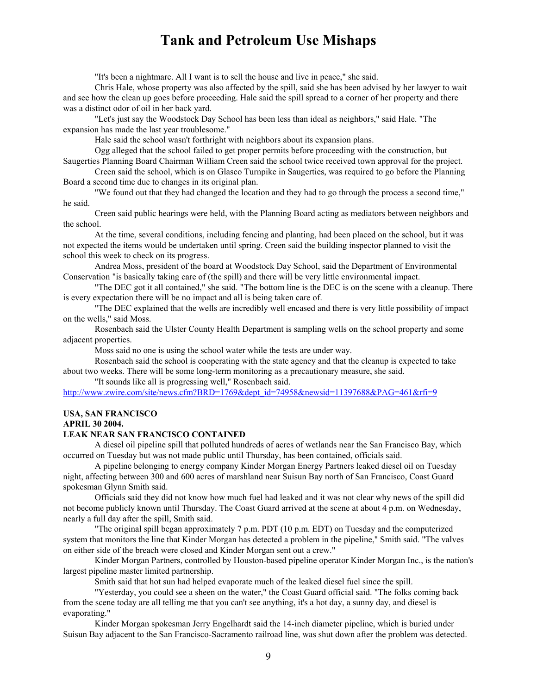"It's been a nightmare. All I want is to sell the house and live in peace," she said.

Chris Hale, whose property was also affected by the spill, said she has been advised by her lawyer to wait and see how the clean up goes before proceeding. Hale said the spill spread to a corner of her property and there was a distinct odor of oil in her back yard.

"Let's just say the Woodstock Day School has been less than ideal as neighbors," said Hale. "The expansion has made the last year troublesome."

Hale said the school wasn't forthright with neighbors about its expansion plans.

Ogg alleged that the school failed to get proper permits before proceeding with the construction, but Saugerties Planning Board Chairman William Creen said the school twice received town approval for the project.

Creen said the school, which is on Glasco Turnpike in Saugerties, was required to go before the Planning Board a second time due to changes in its original plan.

"We found out that they had changed the location and they had to go through the process a second time," he said.

Creen said public hearings were held, with the Planning Board acting as mediators between neighbors and the school.

At the time, several conditions, including fencing and planting, had been placed on the school, but it was not expected the items would be undertaken until spring. Creen said the building inspector planned to visit the school this week to check on its progress.

Andrea Moss, president of the board at Woodstock Day School, said the Department of Environmental Conservation "is basically taking care of (the spill) and there will be very little environmental impact.

"The DEC got it all contained," she said. "The bottom line is the DEC is on the scene with a cleanup. There is every expectation there will be no impact and all is being taken care of.

"The DEC explained that the wells are incredibly well encased and there is very little possibility of impact on the wells," said Moss.

Rosenbach said the Ulster County Health Department is sampling wells on the school property and some adjacent properties.

Moss said no one is using the school water while the tests are under way.

Rosenbach said the school is cooperating with the state agency and that the cleanup is expected to take about two weeks. There will be some long-term monitoring as a precautionary measure, she said.

"It sounds like all is progressing well," Rosenbach said.

http://www.zwire.com/site/news.cfm?BRD=1769&dept\_id=74958&newsid=11397688&PAG=461&rfi=9

## **USA, SAN FRANCISCO**

**APRIL 30 2004.**

#### **LEAK NEAR SAN FRANCISCO CONTAINED**

A diesel oil pipeline spill that polluted hundreds of acres of wetlands near the San Francisco Bay, which occurred on Tuesday but was not made public until Thursday, has been contained, officials said.

A pipeline belonging to energy company Kinder Morgan Energy Partners leaked diesel oil on Tuesday night, affecting between 300 and 600 acres of marshland near Suisun Bay north of San Francisco, Coast Guard spokesman Glynn Smith said.

Officials said they did not know how much fuel had leaked and it was not clear why news of the spill did not become publicly known until Thursday. The Coast Guard arrived at the scene at about 4 p.m. on Wednesday, nearly a full day after the spill, Smith said.

"The original spill began approximately 7 p.m. PDT (10 p.m. EDT) on Tuesday and the computerized system that monitors the line that Kinder Morgan has detected a problem in the pipeline," Smith said. "The valves on either side of the breach were closed and Kinder Morgan sent out a crew."

Kinder Morgan Partners, controlled by Houston-based pipeline operator Kinder Morgan Inc., is the nation's largest pipeline master limited partnership.

Smith said that hot sun had helped evaporate much of the leaked diesel fuel since the spill.

"Yesterday, you could see a sheen on the water," the Coast Guard official said. "The folks coming back from the scene today are all telling me that you can't see anything, it's a hot day, a sunny day, and diesel is evaporating."

Kinder Morgan spokesman Jerry Engelhardt said the 14-inch diameter pipeline, which is buried under Suisun Bay adjacent to the San Francisco-Sacramento railroad line, was shut down after the problem was detected.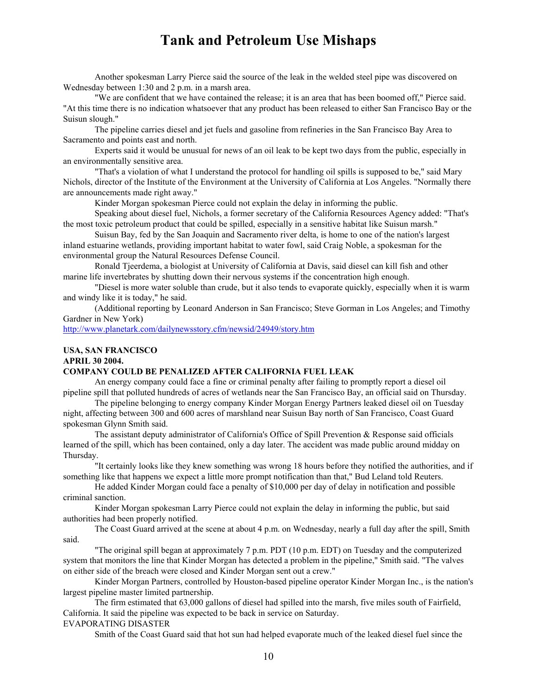Another spokesman Larry Pierce said the source of the leak in the welded steel pipe was discovered on Wednesday between 1:30 and 2 p.m. in a marsh area.

"We are confident that we have contained the release; it is an area that has been boomed off," Pierce said. "At this time there is no indication whatsoever that any product has been released to either San Francisco Bay or the Suisun slough."

The pipeline carries diesel and jet fuels and gasoline from refineries in the San Francisco Bay Area to Sacramento and points east and north.

Experts said it would be unusual for news of an oil leak to be kept two days from the public, especially in an environmentally sensitive area.

"That's a violation of what I understand the protocol for handling oil spills is supposed to be," said Mary Nichols, director of the Institute of the Environment at the University of California at Los Angeles. "Normally there are announcements made right away."

Kinder Morgan spokesman Pierce could not explain the delay in informing the public.

Speaking about diesel fuel, Nichols, a former secretary of the California Resources Agency added: "That's the most toxic petroleum product that could be spilled, especially in a sensitive habitat like Suisun marsh."

Suisun Bay, fed by the San Joaquin and Sacramento river delta, is home to one of the nation's largest inland estuarine wetlands, providing important habitat to water fowl, said Craig Noble, a spokesman for the environmental group the Natural Resources Defense Council.

Ronald Tjeerdema, a biologist at University of California at Davis, said diesel can kill fish and other marine life invertebrates by shutting down their nervous systems if the concentration high enough.

"Diesel is more water soluble than crude, but it also tends to evaporate quickly, especially when it is warm and windy like it is today," he said.

(Additional reporting by Leonard Anderson in San Francisco; Steve Gorman in Los Angeles; and Timothy Gardner in New York)

http://www.planetark.com/dailynewsstory.cfm/newsid/24949/story.htm

### **USA, SAN FRANCISCO**

# **APRIL 30 2004.**

# **COMPANY COULD BE PENALIZED AFTER CALIFORNIA FUEL LEAK**

An energy company could face a fine or criminal penalty after failing to promptly report a diesel oil pipeline spill that polluted hundreds of acres of wetlands near the San Francisco Bay, an official said on Thursday.

The pipeline belonging to energy company Kinder Morgan Energy Partners leaked diesel oil on Tuesday night, affecting between 300 and 600 acres of marshland near Suisun Bay north of San Francisco, Coast Guard spokesman Glynn Smith said.

The assistant deputy administrator of California's Office of Spill Prevention & Response said officials learned of the spill, which has been contained, only a day later. The accident was made public around midday on Thursday.

"It certainly looks like they knew something was wrong 18 hours before they notified the authorities, and if something like that happens we expect a little more prompt notification than that," Bud Leland told Reuters.

He added Kinder Morgan could face a penalty of \$10,000 per day of delay in notification and possible criminal sanction.

Kinder Morgan spokesman Larry Pierce could not explain the delay in informing the public, but said authorities had been properly notified.

The Coast Guard arrived at the scene at about 4 p.m. on Wednesday, nearly a full day after the spill, Smith said.

"The original spill began at approximately 7 p.m. PDT (10 p.m. EDT) on Tuesday and the computerized system that monitors the line that Kinder Morgan has detected a problem in the pipeline," Smith said. "The valves on either side of the breach were closed and Kinder Morgan sent out a crew."

Kinder Morgan Partners, controlled by Houston-based pipeline operator Kinder Morgan Inc., is the nation's largest pipeline master limited partnership.

The firm estimated that 63,000 gallons of diesel had spilled into the marsh, five miles south of Fairfield, California. It said the pipeline was expected to be back in service on Saturday.

### EVAPORATING DISASTER

Smith of the Coast Guard said that hot sun had helped evaporate much of the leaked diesel fuel since the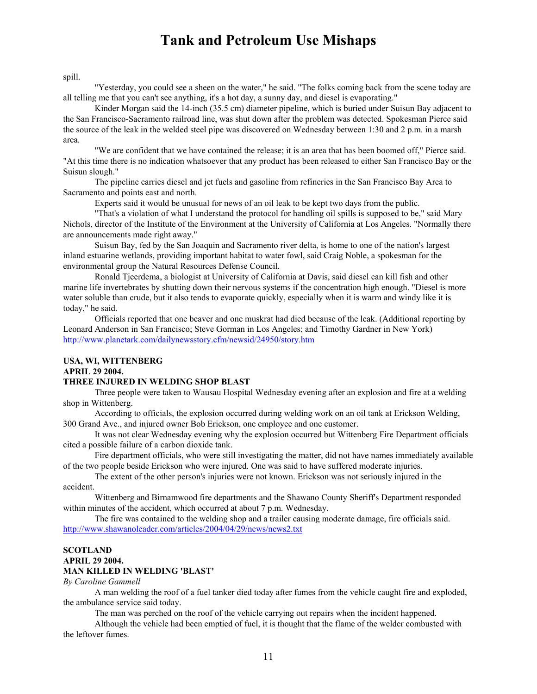spill.

"Yesterday, you could see a sheen on the water," he said. "The folks coming back from the scene today are all telling me that you can't see anything, it's a hot day, a sunny day, and diesel is evaporating."

Kinder Morgan said the 14-inch (35.5 cm) diameter pipeline, which is buried under Suisun Bay adjacent to the San Francisco-Sacramento railroad line, was shut down after the problem was detected. Spokesman Pierce said the source of the leak in the welded steel pipe was discovered on Wednesday between 1:30 and 2 p.m. in a marsh area.

"We are confident that we have contained the release; it is an area that has been boomed off," Pierce said. "At this time there is no indication whatsoever that any product has been released to either San Francisco Bay or the Suisun slough."

The pipeline carries diesel and jet fuels and gasoline from refineries in the San Francisco Bay Area to Sacramento and points east and north.

Experts said it would be unusual for news of an oil leak to be kept two days from the public.

"That's a violation of what I understand the protocol for handling oil spills is supposed to be," said Mary Nichols, director of the Institute of the Environment at the University of California at Los Angeles. "Normally there are announcements made right away."

Suisun Bay, fed by the San Joaquin and Sacramento river delta, is home to one of the nation's largest inland estuarine wetlands, providing important habitat to water fowl, said Craig Noble, a spokesman for the environmental group the Natural Resources Defense Council.

Ronald Tjeerdema, a biologist at University of California at Davis, said diesel can kill fish and other marine life invertebrates by shutting down their nervous systems if the concentration high enough. "Diesel is more water soluble than crude, but it also tends to evaporate quickly, especially when it is warm and windy like it is today," he said.

Officials reported that one beaver and one muskrat had died because of the leak. (Additional reporting by Leonard Anderson in San Francisco; Steve Gorman in Los Angeles; and Timothy Gardner in New York) http://www.planetark.com/dailynewsstory.cfm/newsid/24950/story.htm

## **USA, WI, WITTENBERG**

**APRIL 29 2004.**

### **THREE INJURED IN WELDING SHOP BLAST**

Three people were taken to Wausau Hospital Wednesday evening after an explosion and fire at a welding shop in Wittenberg.

According to officials, the explosion occurred during welding work on an oil tank at Erickson Welding, 300 Grand Ave., and injured owner Bob Erickson, one employee and one customer.

It was not clear Wednesday evening why the explosion occurred but Wittenberg Fire Department officials cited a possible failure of a carbon dioxide tank.

Fire department officials, who were still investigating the matter, did not have names immediately available of the two people beside Erickson who were injured. One was said to have suffered moderate injuries.

The extent of the other person's injuries were not known. Erickson was not seriously injured in the accident.

Wittenberg and Birnamwood fire departments and the Shawano County Sheriff's Department responded within minutes of the accident, which occurred at about 7 p.m. Wednesday.

The fire was contained to the welding shop and a trailer causing moderate damage, fire officials said. http://www.shawanoleader.com/articles/2004/04/29/news/news2.txt

### **SCOTLAND APRIL 29 2004. MAN KILLED IN WELDING 'BLAST'**

#### *By Caroline Gammell*

A man welding the roof of a fuel tanker died today after fumes from the vehicle caught fire and exploded, the ambulance service said today.

The man was perched on the roof of the vehicle carrying out repairs when the incident happened.

Although the vehicle had been emptied of fuel, it is thought that the flame of the welder combusted with the leftover fumes.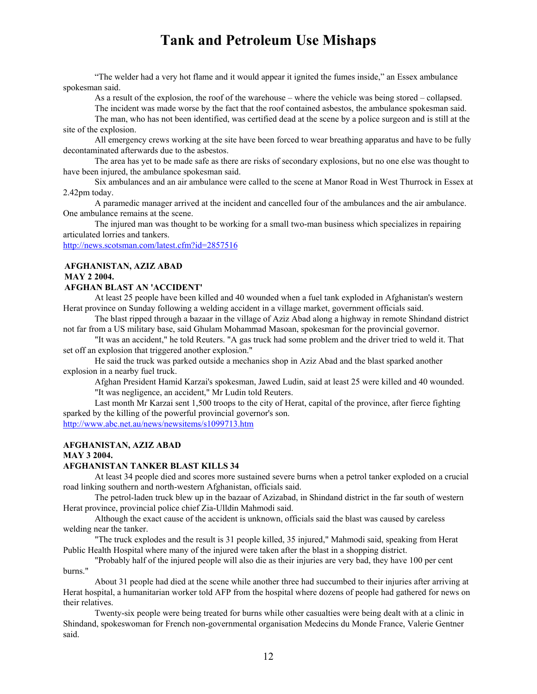"The welder had a very hot flame and it would appear it ignited the fumes inside," an Essex ambulance spokesman said.

As a result of the explosion, the roof of the warehouse – where the vehicle was being stored – collapsed.

The incident was made worse by the fact that the roof contained asbestos, the ambulance spokesman said.

The man, who has not been identified, was certified dead at the scene by a police surgeon and is still at the site of the explosion.

All emergency crews working at the site have been forced to wear breathing apparatus and have to be fully decontaminated afterwards due to the asbestos.

The area has yet to be made safe as there are risks of secondary explosions, but no one else was thought to have been injured, the ambulance spokesman said.

Six ambulances and an air ambulance were called to the scene at Manor Road in West Thurrock in Essex at 2.42pm today.

A paramedic manager arrived at the incident and cancelled four of the ambulances and the air ambulance. One ambulance remains at the scene.

The injured man was thought to be working for a small two-man business which specializes in repairing articulated lorries and tankers.

http://news.scotsman.com/latest.cfm?id=2857516

# **AFGHANISTAN, AZIZ ABAD MAY 2 2004.**

## **AFGHAN BLAST AN 'ACCIDENT'**

At least 25 people have been killed and 40 wounded when a fuel tank exploded in Afghanistan's western Herat province on Sunday following a welding accident in a village market, government officials said.

The blast ripped through a bazaar in the village of Aziz Abad along a highway in remote Shindand district not far from a US military base, said Ghulam Mohammad Masoan, spokesman for the provincial governor.

"It was an accident," he told Reuters. "A gas truck had some problem and the driver tried to weld it. That set off an explosion that triggered another explosion."

He said the truck was parked outside a mechanics shop in Aziz Abad and the blast sparked another explosion in a nearby fuel truck.

Afghan President Hamid Karzai's spokesman, Jawed Ludin, said at least 25 were killed and 40 wounded. "It was negligence, an accident," Mr Ludin told Reuters.

Last month Mr Karzai sent 1,500 troops to the city of Herat, capital of the province, after fierce fighting sparked by the killing of the powerful provincial governor's son.

http://www.abc.net.au/news/newsitems/s1099713.htm

# **AFGHANISTAN, AZIZ ABAD**

# **MAY 3 2004.**

## **AFGHANISTAN TANKER BLAST KILLS 34**

At least 34 people died and scores more sustained severe burns when a petrol tanker exploded on a crucial road linking southern and north-western Afghanistan, officials said.

The petrol-laden truck blew up in the bazaar of Azizabad, in Shindand district in the far south of western Herat province, provincial police chief Zia-Ulldin Mahmodi said.

Although the exact cause of the accident is unknown, officials said the blast was caused by careless welding near the tanker.

"The truck explodes and the result is 31 people killed, 35 injured," Mahmodi said, speaking from Herat Public Health Hospital where many of the injured were taken after the blast in a shopping district.

"Probably half of the injured people will also die as their injuries are very bad, they have 100 per cent burns."

About 31 people had died at the scene while another three had succumbed to their injuries after arriving at Herat hospital, a humanitarian worker told AFP from the hospital where dozens of people had gathered for news on their relatives.

Twenty-six people were being treated for burns while other casualties were being dealt with at a clinic in Shindand, spokeswoman for French non-governmental organisation Medecins du Monde France, Valerie Gentner said.